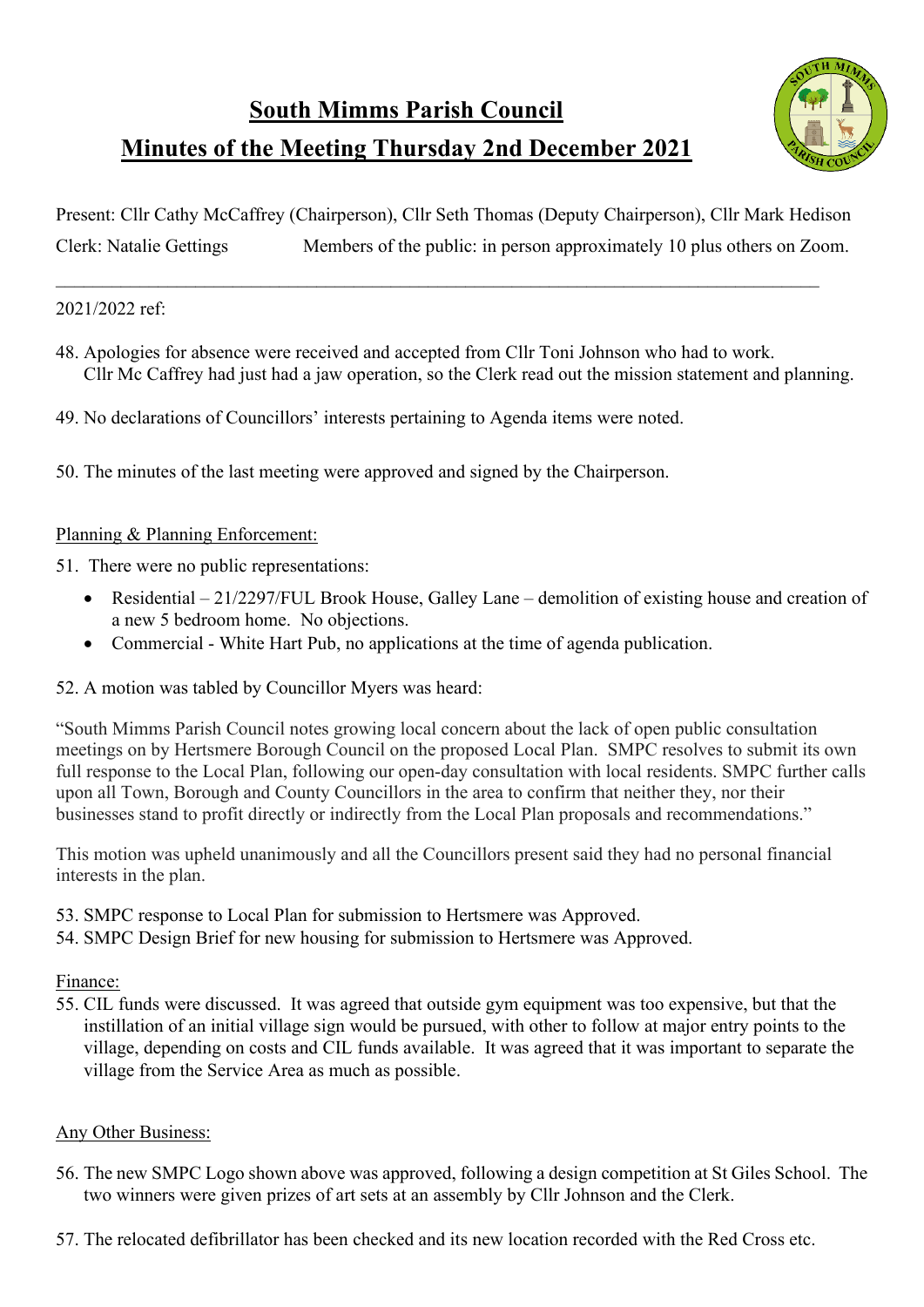

# **Minutes of the Meeting Thursday 2nd December 2021**

Present: Cllr Cathy McCaffrey (Chairperson), Cllr Seth Thomas (Deputy Chairperson), Cllr Mark Hedison Clerk: Natalie Gettings Members of the public: in person approximately 10 plus others on Zoom.

\_\_\_\_\_\_\_\_\_\_\_\_\_\_\_\_\_\_\_\_\_\_\_\_\_\_\_\_\_\_\_\_\_\_\_\_\_\_\_\_\_\_\_\_\_\_\_\_\_\_\_\_\_\_\_\_\_\_\_\_\_\_\_\_\_\_\_\_\_\_\_\_\_\_\_\_\_\_\_\_\_\_

## 2021/2022 ref:

- 48. Apologies for absence were received and accepted from Cllr Toni Johnson who had to work. Cllr Mc Caffrey had just had a jaw operation, so the Clerk read out the mission statement and planning.
- 49. No declarations of Councillors' interests pertaining to Agenda items were noted.
- 50. The minutes of the last meeting were approved and signed by the Chairperson.

## Planning & Planning Enforcement:

- 51. There were no public representations:
	- Residential 21/2297/FUL Brook House, Galley Lane demolition of existing house and creation of a new 5 bedroom home. No objections.
	- Commercial White Hart Pub, no applications at the time of agenda publication.
- 52. A motion was tabled by Councillor Myers was heard:

"South Mimms Parish Council notes growing local concern about the lack of open public consultation meetings on by Hertsmere Borough Council on the proposed Local Plan. SMPC resolves to submit its own full response to the Local Plan, following our open-day consultation with local residents. SMPC further calls upon all Town, Borough and County Councillors in the area to confirm that neither they, nor their businesses stand to profit directly or indirectly from the Local Plan proposals and recommendations."

This motion was upheld unanimously and all the Councillors present said they had no personal financial interests in the plan.

- 53. SMPC response to Local Plan for submission to Hertsmere was Approved.
- 54. SMPC Design Brief for new housing for submission to Hertsmere was Approved.

### Finance:

55. CIL funds were discussed. It was agreed that outside gym equipment was too expensive, but that the instillation of an initial village sign would be pursued, with other to follow at major entry points to the village, depending on costs and CIL funds available. It was agreed that it was important to separate the village from the Service Area as much as possible.

### Any Other Business:

- 56. The new SMPC Logo shown above was approved, following a design competition at St Giles School. The two winners were given prizes of art sets at an assembly by Cllr Johnson and the Clerk.
- 57. The relocated defibrillator has been checked and its new location recorded with the Red Cross etc.